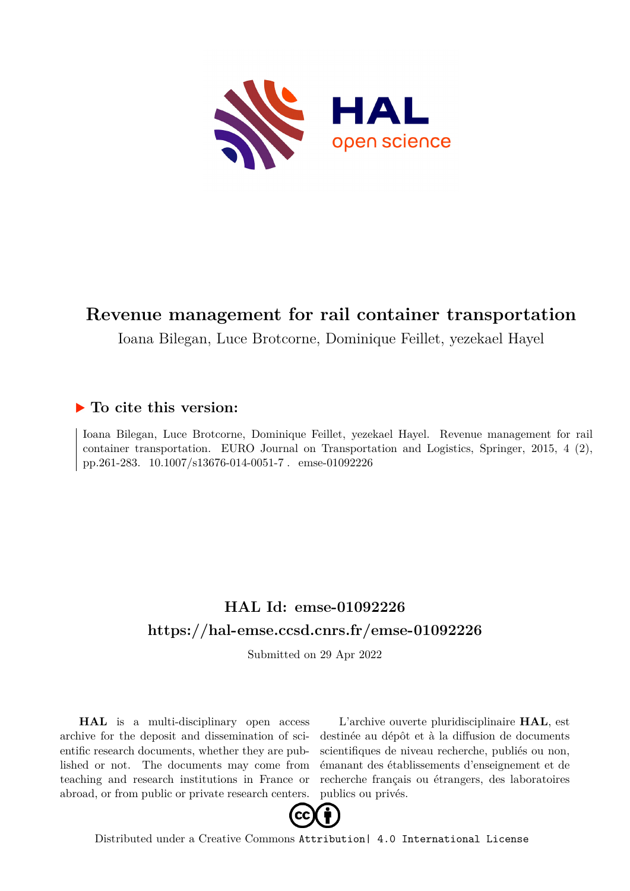

# **Revenue management for rail container transportation**

Ioana Bilegan, Luce Brotcorne, Dominique Feillet, yezekael Hayel

# **To cite this version:**

Ioana Bilegan, Luce Brotcorne, Dominique Feillet, yezekael Hayel. Revenue management for rail container transportation. EURO Journal on Transportation and Logistics, Springer, 2015, 4 (2), pp.261-283. 10.1007/s13676-014-0051-7. emse-01092226

# **HAL Id: emse-01092226 <https://hal-emse.ccsd.cnrs.fr/emse-01092226>**

Submitted on 29 Apr 2022

**HAL** is a multi-disciplinary open access archive for the deposit and dissemination of scientific research documents, whether they are published or not. The documents may come from teaching and research institutions in France or abroad, or from public or private research centers.

L'archive ouverte pluridisciplinaire **HAL**, est destinée au dépôt et à la diffusion de documents scientifiques de niveau recherche, publiés ou non, émanant des établissements d'enseignement et de recherche français ou étrangers, des laboratoires publics ou privés.



Distributed under a Creative Commons [Attribution| 4.0 International License](http://creativecommons.org/licenses/by/4.0/)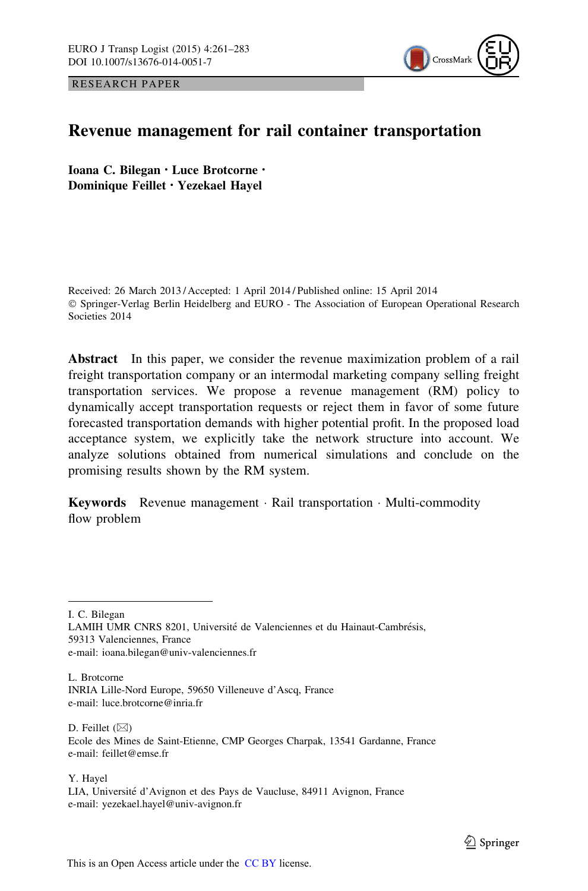



# Revenue management for rail container transportation

Ioana C. Bilegan • Luce Brotcorne • Dominique Feillet • Yezekael Hayel

Received: 26 March 2013 / Accepted: 1 April 2014 / Published online: 15 April 2014 - Springer-Verlag Berlin Heidelberg and EURO - The Association of European Operational Research Societies 2014

Abstract In this paper, we consider the revenue maximization problem of a rail freight transportation company or an intermodal marketing company selling freight transportation services. We propose a revenue management (RM) policy to dynamically accept transportation requests or reject them in favor of some future forecasted transportation demands with higher potential profit. In the proposed load acceptance system, we explicitly take the network structure into account. We analyze solutions obtained from numerical simulations and conclude on the promising results shown by the RM system.

Keywords Revenue management · Rail transportation · Multi-commodity flow problem

L. Brotcorne INRIA Lille-Nord Europe, 59650 Villeneuve d'Ascq, France e-mail: luce.brotcorne@inria.fr

D. Feillet  $(\boxtimes)$ Ecole des Mines de Saint-Etienne, CMP Georges Charpak, 13541 Gardanne, France e-mail: feillet@emse.fr

Y. Hayel

I. C. Bilegan

LAMIH UMR CNRS 8201, Université de Valenciennes et du Hainaut-Cambrésis, 59313 Valenciennes, France e-mail: ioana.bilegan@univ-valenciennes.fr

LIA, Université d'Avignon et des Pays de Vaucluse, 84911 Avignon, France e-mail: yezekael.hayel@univ-avignon.fr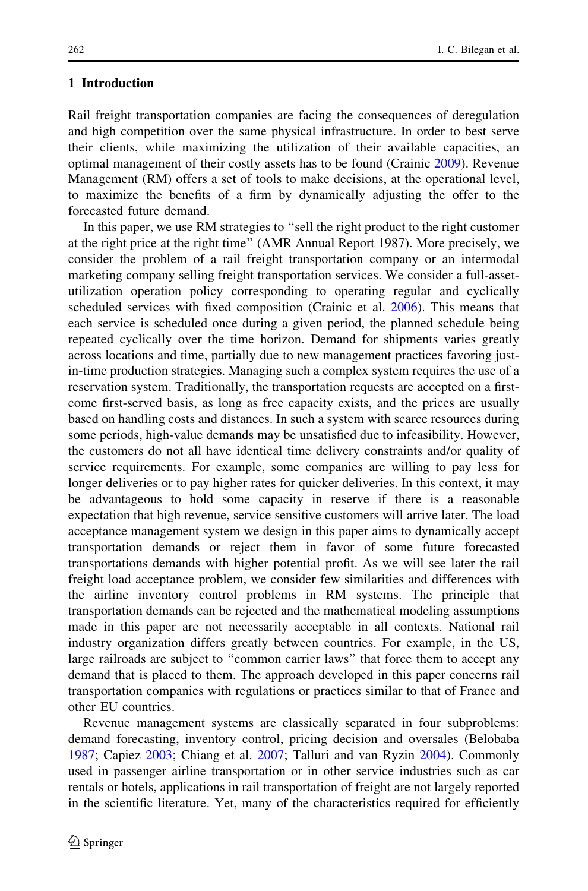## 1 Introduction

Rail freight transportation companies are facing the consequences of deregulation and high competition over the same physical infrastructure. In order to best serve their clients, while maximizing the utilization of their available capacities, an optimal management of their costly assets has to be found (Crainic 2009). Revenue Management (RM) offers a set of tools to make decisions, at the operational level, to maximize the benefits of a firm by dynamically adjusting the offer to the forecasted future demand.

In this paper, we use RM strategies to ''sell the right product to the right customer at the right price at the right time'' (AMR Annual Report 1987). More precisely, we consider the problem of a rail freight transportation company or an intermodal marketing company selling freight transportation services. We consider a full-assetutilization operation policy corresponding to operating regular and cyclically scheduled services with fixed composition (Crainic et al. 2006). This means that each service is scheduled once during a given period, the planned schedule being repeated cyclically over the time horizon. Demand for shipments varies greatly across locations and time, partially due to new management practices favoring justin-time production strategies. Managing such a complex system requires the use of a reservation system. Traditionally, the transportation requests are accepted on a firstcome first-served basis, as long as free capacity exists, and the prices are usually based on handling costs and distances. In such a system with scarce resources during some periods, high-value demands may be unsatisfied due to infeasibility. However, the customers do not all have identical time delivery constraints and/or quality of service requirements. For example, some companies are willing to pay less for longer deliveries or to pay higher rates for quicker deliveries. In this context, it may be advantageous to hold some capacity in reserve if there is a reasonable expectation that high revenue, service sensitive customers will arrive later. The load acceptance management system we design in this paper aims to dynamically accept transportation demands or reject them in favor of some future forecasted transportations demands with higher potential profit. As we will see later the rail freight load acceptance problem, we consider few similarities and differences with the airline inventory control problems in RM systems. The principle that transportation demands can be rejected and the mathematical modeling assumptions made in this paper are not necessarily acceptable in all contexts. National rail industry organization differs greatly between countries. For example, in the US, large railroads are subject to ''common carrier laws'' that force them to accept any demand that is placed to them. The approach developed in this paper concerns rail transportation companies with regulations or practices similar to that of France and other EU countries.

Revenue management systems are classically separated in four subproblems: demand forecasting, inventory control, pricing decision and oversales (Belobaba 1987; Capiez 2003; Chiang et al. 2007; Talluri and van Ryzin 2004). Commonly used in passenger airline transportation or in other service industries such as car rentals or hotels, applications in rail transportation of freight are not largely reported in the scientific literature. Yet, many of the characteristics required for efficiently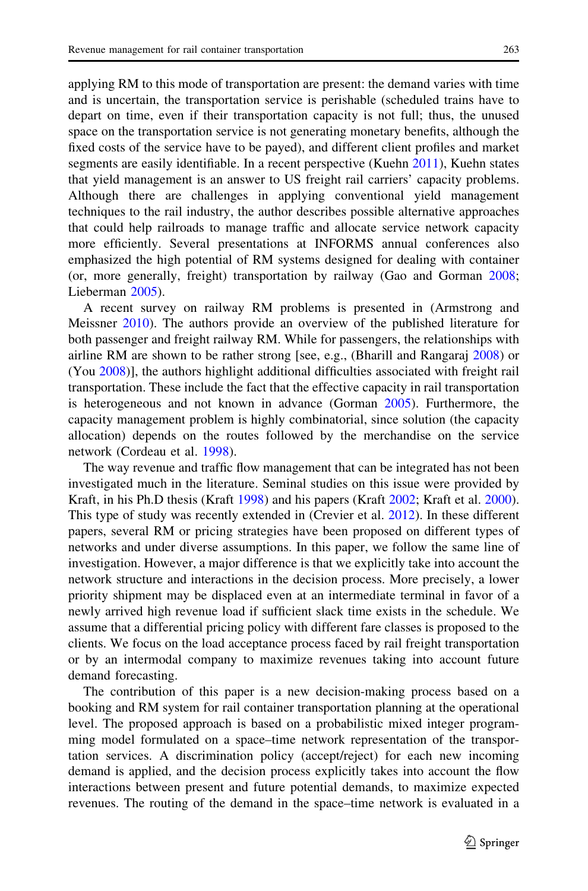applying RM to this mode of transportation are present: the demand varies with time and is uncertain, the transportation service is perishable (scheduled trains have to depart on time, even if their transportation capacity is not full; thus, the unused space on the transportation service is not generating monetary benefits, although the fixed costs of the service have to be payed), and different client profiles and market segments are easily identifiable. In a recent perspective (Kuehn 2011), Kuehn states that yield management is an answer to US freight rail carriers' capacity problems. Although there are challenges in applying conventional yield management techniques to the rail industry, the author describes possible alternative approaches that could help railroads to manage traffic and allocate service network capacity more efficiently. Several presentations at INFORMS annual conferences also emphasized the high potential of RM systems designed for dealing with container (or, more generally, freight) transportation by railway (Gao and Gorman 2008; Lieberman 2005).

A recent survey on railway RM problems is presented in (Armstrong and Meissner 2010). The authors provide an overview of the published literature for both passenger and freight railway RM. While for passengers, the relationships with airline RM are shown to be rather strong [see, e.g., (Bharill and Rangaraj 2008) or (You 2008)], the authors highlight additional difficulties associated with freight rail transportation. These include the fact that the effective capacity in rail transportation is heterogeneous and not known in advance (Gorman 2005). Furthermore, the capacity management problem is highly combinatorial, since solution (the capacity allocation) depends on the routes followed by the merchandise on the service network (Cordeau et al. 1998).

The way revenue and traffic flow management that can be integrated has not been investigated much in the literature. Seminal studies on this issue were provided by Kraft, in his Ph.D thesis (Kraft 1998) and his papers (Kraft 2002; Kraft et al. 2000). This type of study was recently extended in (Crevier et al. 2012). In these different papers, several RM or pricing strategies have been proposed on different types of networks and under diverse assumptions. In this paper, we follow the same line of investigation. However, a major difference is that we explicitly take into account the network structure and interactions in the decision process. More precisely, a lower priority shipment may be displaced even at an intermediate terminal in favor of a newly arrived high revenue load if sufficient slack time exists in the schedule. We assume that a differential pricing policy with different fare classes is proposed to the clients. We focus on the load acceptance process faced by rail freight transportation or by an intermodal company to maximize revenues taking into account future demand forecasting.

The contribution of this paper is a new decision-making process based on a booking and RM system for rail container transportation planning at the operational level. The proposed approach is based on a probabilistic mixed integer programming model formulated on a space–time network representation of the transportation services. A discrimination policy (accept/reject) for each new incoming demand is applied, and the decision process explicitly takes into account the flow interactions between present and future potential demands, to maximize expected revenues. The routing of the demand in the space–time network is evaluated in a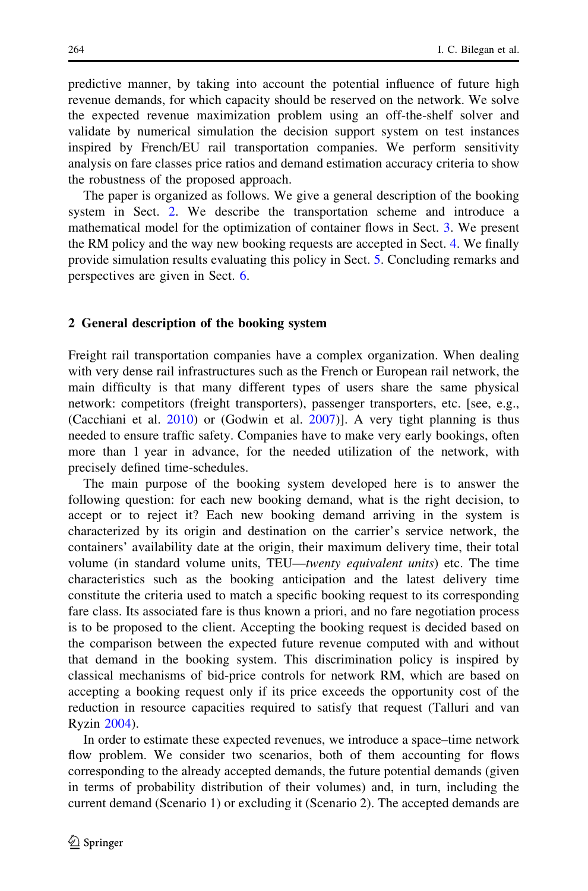predictive manner, by taking into account the potential influence of future high revenue demands, for which capacity should be reserved on the network. We solve the expected revenue maximization problem using an off-the-shelf solver and validate by numerical simulation the decision support system on test instances inspired by French/EU rail transportation companies. We perform sensitivity analysis on fare classes price ratios and demand estimation accuracy criteria to show the robustness of the proposed approach.

The paper is organized as follows. We give a general description of the booking system in Sect. 2. We describe the transportation scheme and introduce a mathematical model for the optimization of container flows in Sect. 3. We present the RM policy and the way new booking requests are accepted in Sect. 4. We finally provide simulation results evaluating this policy in Sect. 5. Concluding remarks and perspectives are given in Sect. 6.

### 2 General description of the booking system

Freight rail transportation companies have a complex organization. When dealing with very dense rail infrastructures such as the French or European rail network, the main difficulty is that many different types of users share the same physical network: competitors (freight transporters), passenger transporters, etc. [see, e.g., (Cacchiani et al. 2010) or (Godwin et al. 2007)]. A very tight planning is thus needed to ensure traffic safety. Companies have to make very early bookings, often more than 1 year in advance, for the needed utilization of the network, with precisely defined time-schedules.

The main purpose of the booking system developed here is to answer the following question: for each new booking demand, what is the right decision, to accept or to reject it? Each new booking demand arriving in the system is characterized by its origin and destination on the carrier's service network, the containers' availability date at the origin, their maximum delivery time, their total volume (in standard volume units, TEU—twenty equivalent units) etc. The time characteristics such as the booking anticipation and the latest delivery time constitute the criteria used to match a specific booking request to its corresponding fare class. Its associated fare is thus known a priori, and no fare negotiation process is to be proposed to the client. Accepting the booking request is decided based on the comparison between the expected future revenue computed with and without that demand in the booking system. This discrimination policy is inspired by classical mechanisms of bid-price controls for network RM, which are based on accepting a booking request only if its price exceeds the opportunity cost of the reduction in resource capacities required to satisfy that request (Talluri and van Ryzin 2004).

In order to estimate these expected revenues, we introduce a space–time network flow problem. We consider two scenarios, both of them accounting for flows corresponding to the already accepted demands, the future potential demands (given in terms of probability distribution of their volumes) and, in turn, including the current demand (Scenario 1) or excluding it (Scenario 2). The accepted demands are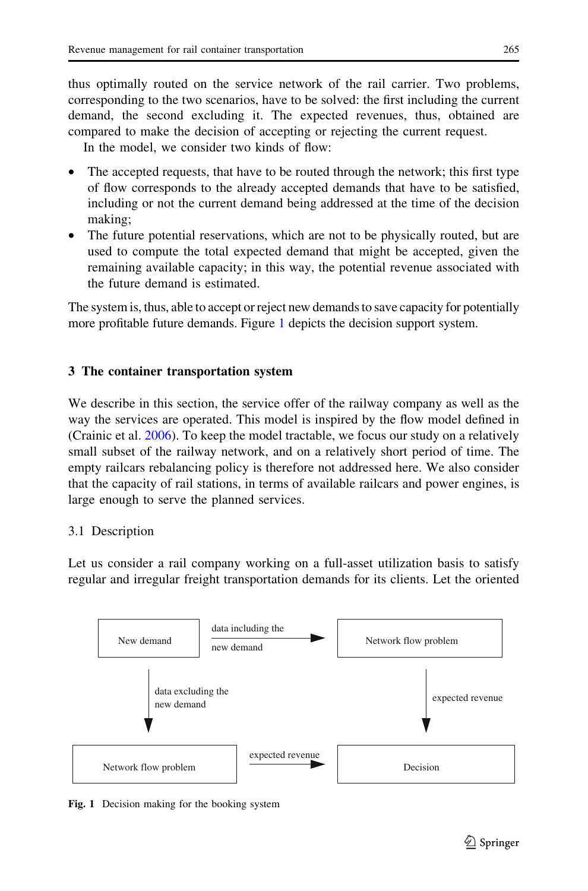thus optimally routed on the service network of the rail carrier. Two problems, corresponding to the two scenarios, have to be solved: the first including the current demand, the second excluding it. The expected revenues, thus, obtained are compared to make the decision of accepting or rejecting the current request.

In the model, we consider two kinds of flow:

- The accepted requests, that have to be routed through the network; this first type of flow corresponds to the already accepted demands that have to be satisfied, including or not the current demand being addressed at the time of the decision making;
- The future potential reservations, which are not to be physically routed, but are used to compute the total expected demand that might be accepted, given the remaining available capacity; in this way, the potential revenue associated with the future demand is estimated.

The system is, thus, able to accept or reject new demands to save capacity for potentially more profitable future demands. Figure 1 depicts the decision support system.

# 3 The container transportation system

We describe in this section, the service offer of the railway company as well as the way the services are operated. This model is inspired by the flow model defined in (Crainic et al. 2006). To keep the model tractable, we focus our study on a relatively small subset of the railway network, and on a relatively short period of time. The empty railcars rebalancing policy is therefore not addressed here. We also consider that the capacity of rail stations, in terms of available railcars and power engines, is large enough to serve the planned services.

# 3.1 Description

Let us consider a rail company working on a full-asset utilization basis to satisfy regular and irregular freight transportation demands for its clients. Let the oriented



Fig. 1 Decision making for the booking system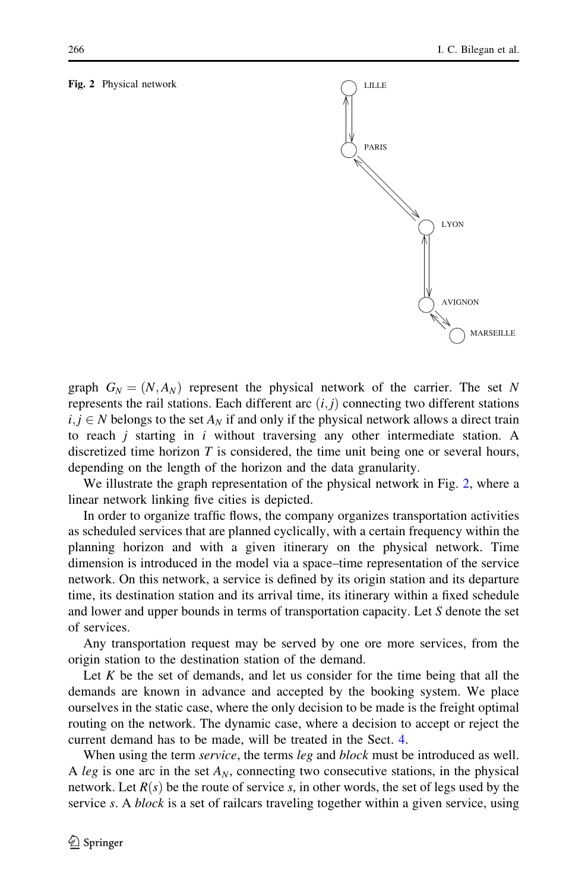#### Fig. 2 Physical network



graph  $G_N = (N, A_N)$  represent the physical network of the carrier. The set N represents the rail stations. Each different arc  $(i, j)$  connecting two different stations  $i, j \in N$  belongs to the set  $A_N$  if and only if the physical network allows a direct train to reach  $j$  starting in  $i$  without traversing any other intermediate station. A discretized time horizon  $T$  is considered, the time unit being one or several hours, depending on the length of the horizon and the data granularity.

We illustrate the graph representation of the physical network in Fig. 2, where a linear network linking five cities is depicted.

In order to organize traffic flows, the company organizes transportation activities as scheduled services that are planned cyclically, with a certain frequency within the planning horizon and with a given itinerary on the physical network. Time dimension is introduced in the model via a space–time representation of the service network. On this network, a service is defined by its origin station and its departure time, its destination station and its arrival time, its itinerary within a fixed schedule and lower and upper bounds in terms of transportation capacity. Let S denote the set of services.

Any transportation request may be served by one ore more services, from the origin station to the destination station of the demand.

Let  $K$  be the set of demands, and let us consider for the time being that all the demands are known in advance and accepted by the booking system. We place ourselves in the static case, where the only decision to be made is the freight optimal routing on the network. The dynamic case, where a decision to accept or reject the current demand has to be made, will be treated in the Sect. 4.

When using the term service, the terms leg and block must be introduced as well. A leg is one arc in the set  $A_N$ , connecting two consecutive stations, in the physical network. Let  $R(s)$  be the route of service s, in other words, the set of legs used by the service s. A *block* is a set of railcars traveling together within a given service, using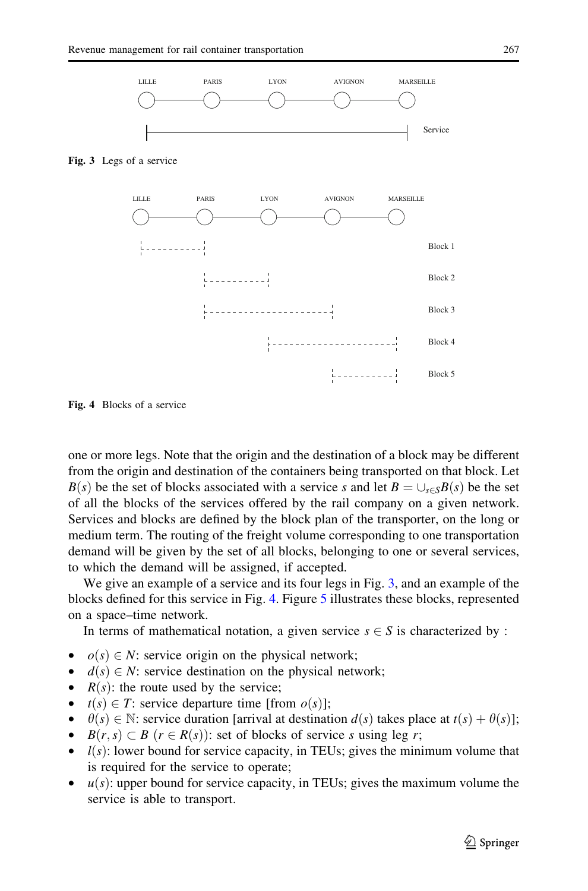

Fig. 4 Blocks of a service

one or more legs. Note that the origin and the destination of a block may be different from the origin and destination of the containers being transported on that block. Let  $B(s)$  be the set of blocks associated with a service s and let  $B = \bigcup_{s \in S} B(s)$  be the set of all the blocks of the services offered by the rail company on a given network. Services and blocks are defined by the block plan of the transporter, on the long or medium term. The routing of the freight volume corresponding to one transportation demand will be given by the set of all blocks, belonging to one or several services, to which the demand will be assigned, if accepted.

We give an example of a service and its four legs in Fig. 3, and an example of the blocks defined for this service in Fig. 4. Figure 5 illustrates these blocks, represented on a space–time network.

In terms of mathematical notation, a given service  $s \in S$  is characterized by :

- $o(s) \in N$ : service origin on the physical network;
- $d(s) \in N$ : service destination on the physical network;
- $R(s)$ : the route used by the service;
- $t(s) \in T$ : service departure time [from  $o(s)$ ];
- $\theta(s) \in \mathbb{N}$ : service duration [arrival at destination  $d(s)$  takes place at  $t(s) + \theta(s)$ ];
- $B(r, s) \subset B$   $(r \in R(s))$ : set of blocks of service s using leg r;
- $l(s)$ : lower bound for service capacity, in TEUs; gives the minimum volume that is required for the service to operate;
- $u(s)$ : upper bound for service capacity, in TEUs; gives the maximum volume the service is able to transport.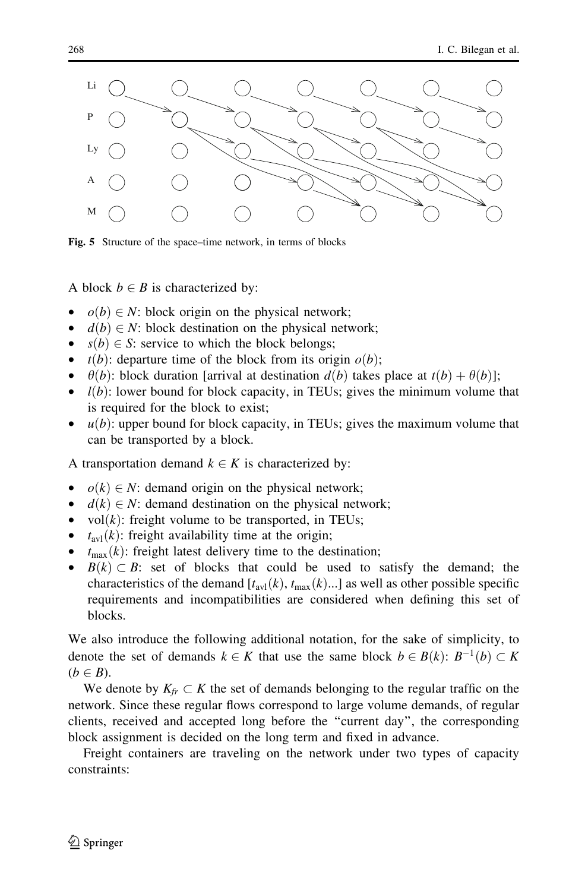

Fig. 5 Structure of the space–time network, in terms of blocks

A block  $b \in B$  is characterized by:

- $o(b) \in N$ : block origin on the physical network;
- $d(b) \in N$ : block destination on the physical network;
- $s(b) \in S$ : service to which the block belongs;
- $t(b)$ : departure time of the block from its origin  $o(b)$ ;
- $\theta(b)$ : block duration [arrival at destination  $d(b)$  takes place at  $t(b) + \theta(b)$ ];
- $\bullet$   $l(b)$ : lower bound for block capacity, in TEUs; gives the minimum volume that is required for the block to exist;
- $u(b)$ : upper bound for block capacity, in TEUs; gives the maximum volume that can be transported by a block.

A transportation demand  $k \in K$  is characterized by:

- $o(k) \in N$ : demand origin on the physical network;
- $d(k) \in N$ : demand destination on the physical network;
- vol $(k)$ : freight volume to be transported, in TEUs;
- $t_{avl}(k)$ : freight availability time at the origin;
- $t_{\text{max}}(k)$ : freight latest delivery time to the destination;
- $B(k) \subset B$ : set of blocks that could be used to satisfy the demand; the characteristics of the demand  $[t_{\text{avl}}(k), t_{\text{max}}(k)...]$  as well as other possible specific requirements and incompatibilities are considered when defining this set of blocks.

We also introduce the following additional notation, for the sake of simplicity, to denote the set of demands  $k \in K$  that use the same block  $b \in B(k)$ :  $B^{-1}(b) \subset K$  $(b \in B)$ .

We denote by  $K_f \subset K$  the set of demands belonging to the regular traffic on the network. Since these regular flows correspond to large volume demands, of regular clients, received and accepted long before the ''current day'', the corresponding block assignment is decided on the long term and fixed in advance.

Freight containers are traveling on the network under two types of capacity constraints: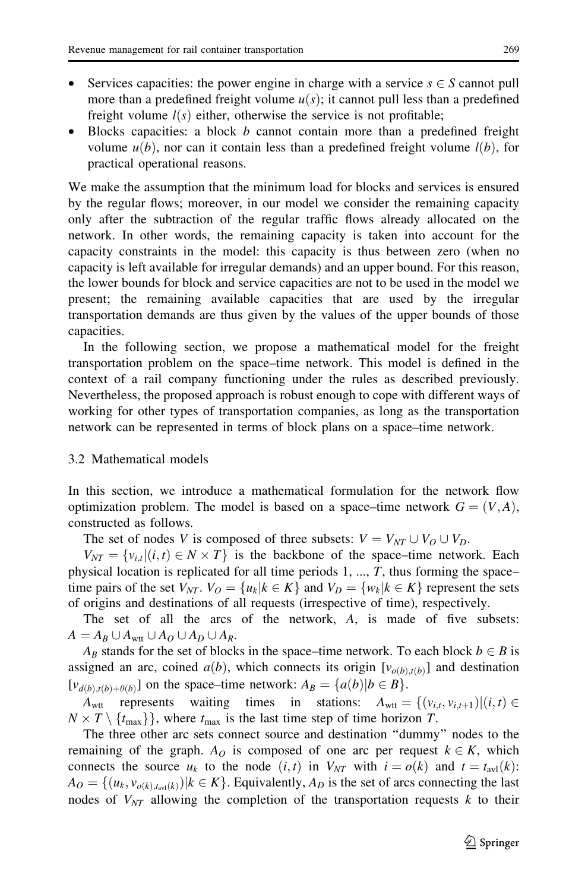- Services capacities: the power engine in charge with a service  $s \in S$  cannot pull more than a predefined freight volume  $u(s)$ ; it cannot pull less than a predefined freight volume  $l(s)$  either, otherwise the service is not profitable;
- Blocks capacities: a block  $b$  cannot contain more than a predefined freight volume  $u(b)$ , nor can it contain less than a predefined freight volume  $l(b)$ , for practical operational reasons.

We make the assumption that the minimum load for blocks and services is ensured by the regular flows; moreover, in our model we consider the remaining capacity only after the subtraction of the regular traffic flows already allocated on the network. In other words, the remaining capacity is taken into account for the capacity constraints in the model: this capacity is thus between zero (when no capacity is left available for irregular demands) and an upper bound. For this reason, the lower bounds for block and service capacities are not to be used in the model we present; the remaining available capacities that are used by the irregular transportation demands are thus given by the values of the upper bounds of those capacities.

In the following section, we propose a mathematical model for the freight transportation problem on the space–time network. This model is defined in the context of a rail company functioning under the rules as described previously. Nevertheless, the proposed approach is robust enough to cope with different ways of working for other types of transportation companies, as long as the transportation network can be represented in terms of block plans on a space–time network.

#### 3.2 Mathematical models

In this section, we introduce a mathematical formulation for the network flow optimization problem. The model is based on a space–time network  $G = (V, A)$ , constructed as follows.

The set of nodes V is composed of three subsets:  $V = V_{NT} \cup V_O \cup V_D$ .

 $V_{NT} = \{v_{i,t} | (i,t) \in N \times T\}$  is the backbone of the space–time network. Each physical location is replicated for all time periods  $1, \ldots, T$ , thus forming the space– time pairs of the set  $V_{NT}$ .  $V_O = \{u_k | k \in K\}$  and  $V_D = \{w_k | k \in K\}$  represent the sets of origins and destinations of all requests (irrespective of time), respectively.

The set of all the arcs of the network, A, is made of five subsets:  $A = A_B \cup A_{wtt} \cup A_O \cup A_D \cup A_R.$ 

 $A_B$  stands for the set of blocks in the space–time network. To each block  $b \in B$  is assigned an arc, coined  $a(b)$ , which connects its origin  $[v_{o(b),t(b)}]$  and destination  $[v_{d(b), t(b)+\theta(b)}]$  on the space–time network:  $A_B = \{a(b)|b \in B\}.$ 

 $A_{\text{wtt}}$  represents waiting times in stations:  $A_{\text{wtt}} = \{ (v_{i,t}, v_{i,t+1}) | (i, t) \in$  $N \times T \setminus \{t_{\text{max}}\}\}\,$ , where  $t_{\text{max}}$  is the last time step of time horizon T.

The three other arc sets connect source and destination ''dummy'' nodes to the remaining of the graph.  $A_{\mathcal{O}}$  is composed of one arc per request  $k \in K$ , which connects the source  $u_k$  to the node  $(i, t)$  in  $V_{NT}$  with  $i = o(k)$  and  $t = t_{av1}(k)$ :  $A_O = \{(u_k, v_{o(k), t_{\text{svl}}(k)}) | k \in K\}$ . Equivalently,  $A_D$  is the set of arcs connecting the last nodes of  $V_{NT}$  allowing the completion of the transportation requests k to their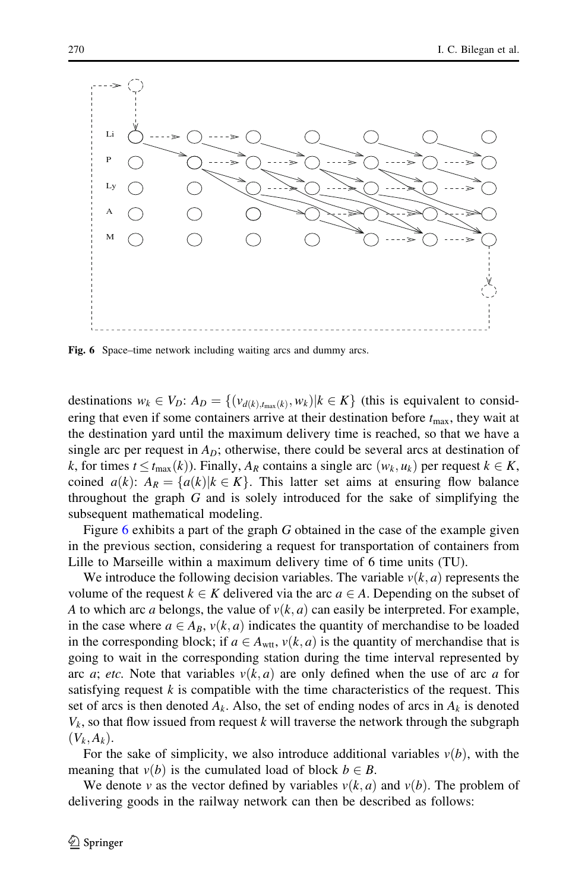

Fig. 6 Space–time network including waiting arcs and dummy arcs.

destinations  $w_k \in V_D$ :  $A_D = \{(v_{d(k), t_{\text{max}}(k)}, w_k) | k \in K\}$  (this is equivalent to considering that even if some containers arrive at their destination before  $t_{\text{max}}$ , they wait at the destination yard until the maximum delivery time is reached, so that we have a single arc per request in  $A<sub>D</sub>$ ; otherwise, there could be several arcs at destination of k, for times  $t \le t_{\max}(k)$ . Finally,  $A_R$  contains a single arc  $(w_k, u_k)$  per request  $k \in K$ , coined  $a(k)$ :  $A_R = \{a(k)|k \in K\}$ . This latter set aims at ensuring flow balance throughout the graph  $G$  and is solely introduced for the sake of simplifying the subsequent mathematical modeling.

Figure 6 exhibits a part of the graph  $G$  obtained in the case of the example given in the previous section, considering a request for transportation of containers from Lille to Marseille within a maximum delivery time of 6 time units (TU).

We introduce the following decision variables. The variable  $v(k, a)$  represents the volume of the request  $k \in K$  delivered via the arc  $a \in A$ . Depending on the subset of A to which arc a belongs, the value of  $v(k, a)$  can easily be interpreted. For example, in the case where  $a \in A_B$ ,  $v(k, a)$  indicates the quantity of merchandise to be loaded in the corresponding block; if  $a \in A_{wtt}$ ,  $v(k, a)$  is the quantity of merchandise that is going to wait in the corresponding station during the time interval represented by arc *a*; *etc.* Note that variables  $v(k, a)$  are only defined when the use of arc *a* for satisfying request  $k$  is compatible with the time characteristics of the request. This set of arcs is then denoted  $A_k$ . Also, the set of ending nodes of arcs in  $A_k$  is denoted  $V_k$ , so that flow issued from request k will traverse the network through the subgraph  $(V_k, A_k)$ .

For the sake of simplicity, we also introduce additional variables  $v(b)$ , with the meaning that  $v(b)$  is the cumulated load of block  $b \in B$ .

We denote v as the vector defined by variables  $v(k, a)$  and  $v(b)$ . The problem of delivering goods in the railway network can then be described as follows: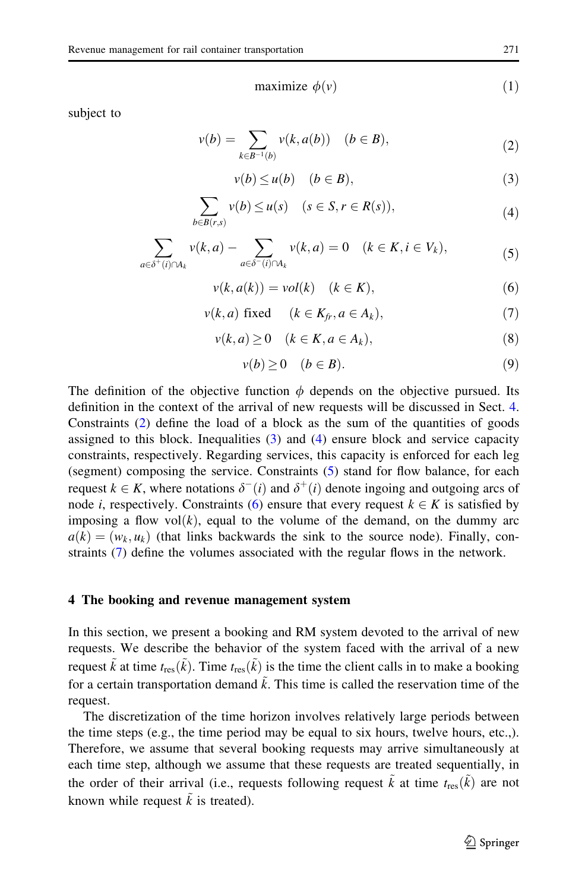maximize  $\phi(v)$  (1)

subject to

$$
v(b) = \sum_{k \in B^{-1}(b)} v(k, a(b)) \quad (b \in B),
$$
 (2)

$$
v(b) \le u(b) \quad (b \in B), \tag{3}
$$

$$
\sum_{b \in B(r,s)} v(b) \le u(s) \quad (s \in S, r \in R(s)),\tag{4}
$$

$$
\sum_{a \in \delta^+(i) \cap A_k} \nu(k, a) - \sum_{a \in \delta^-(i) \cap A_k} \nu(k, a) = 0 \quad (k \in K, i \in V_k), \tag{5}
$$

$$
v(k, a(k)) = vol(k) \quad (k \in K),
$$
\n(6)

$$
v(k, a) \text{ fixed} \quad (k \in K_{fr}, a \in A_k), \tag{7}
$$

$$
v(k, a) \ge 0 \quad (k \in K, a \in A_k), \tag{8}
$$

$$
v(b) \ge 0 \quad (b \in B). \tag{9}
$$

The definition of the objective function  $\phi$  depends on the objective pursued. Its definition in the context of the arrival of new requests will be discussed in Sect. 4. Constraints  $(2)$  define the load of a block as the sum of the quantities of goods assigned to this block. Inequalities  $(3)$  and  $(4)$  ensure block and service capacity constraints, respectively. Regarding services, this capacity is enforced for each leg (segment) composing the service. Constraints (5) stand for flow balance, for each request  $k \in K$ , where notations  $\delta^{-}(i)$  and  $\delta^{+}(i)$  denote ingoing and outgoing arcs of node *i*, respectively. Constraints (6) ensure that every request  $k \in K$  is satisfied by imposing a flow  $vol(k)$ , equal to the volume of the demand, on the dummy arc  $a(k) = (w_k, u_k)$  (that links backwards the sink to the source node). Finally, constraints (7) define the volumes associated with the regular flows in the network.

### 4 The booking and revenue management system

In this section, we present a booking and RM system devoted to the arrival of new requests. We describe the behavior of the system faced with the arrival of a new request  $\tilde{k}$  at time  $t_{res}(\tilde{k})$ . Time  $t_{res}(\tilde{k})$  is the time the client calls in to make a booking for a certain transportation demand  $\tilde{k}$ . This time is called the reservation time of the request.

The discretization of the time horizon involves relatively large periods between the time steps (e.g., the time period may be equal to six hours, twelve hours, etc.,). Therefore, we assume that several booking requests may arrive simultaneously at each time step, although we assume that these requests are treated sequentially, in the order of their arrival (i.e., requests following request  $\tilde{k}$  at time  $t_{res}(\tilde{k})$  are not known while request  $\tilde{k}$  is treated).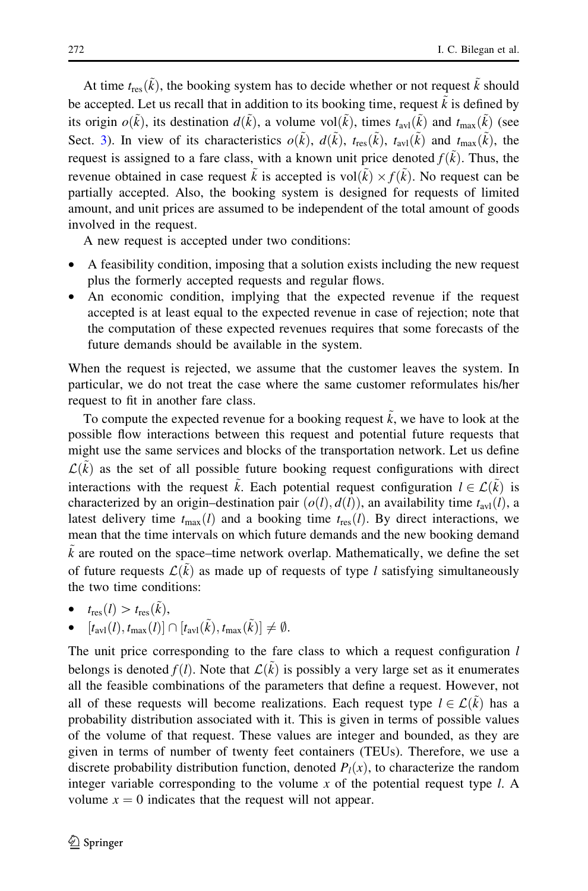At time  $t_{\text{res}}(\tilde{k})$ , the booking system has to decide whether or not request  $\tilde{k}$  should be accepted. Let us recall that in addition to its booking time, request  $\tilde{k}$  is defined by its origin  $o(\tilde{k})$ , its destination  $d(\tilde{k})$ , a volume vol $(\tilde{k})$ , times  $t_{\text{avl}}(\tilde{k})$  and  $t_{\text{max}}(\tilde{k})$  (see Sect. 3). In view of its characteristics  $o(\tilde{k})$ ,  $d(\tilde{k})$ ,  $t_{res}(\tilde{k})$ ,  $t_{avl}(\tilde{k})$  and  $t_{max}(\tilde{k})$ , the request is assigned to a fare class, with a known unit price denoted  $f(\tilde{k})$ . Thus, the revenue obtained in case request  $\tilde{k}$  is accepted is  $vol(\tilde{k}) \times f(\tilde{k})$ . No request can be partially accepted. Also, the booking system is designed for requests of limited amount, and unit prices are assumed to be independent of the total amount of goods involved in the request.

A new request is accepted under two conditions:

- A feasibility condition, imposing that a solution exists including the new request plus the formerly accepted requests and regular flows.
- An economic condition, implying that the expected revenue if the request accepted is at least equal to the expected revenue in case of rejection; note that the computation of these expected revenues requires that some forecasts of the future demands should be available in the system.

When the request is rejected, we assume that the customer leaves the system. In particular, we do not treat the case where the same customer reformulates his/her request to fit in another fare class.

To compute the expected revenue for a booking request  $\tilde{k}$ , we have to look at the possible flow interactions between this request and potential future requests that might use the same services and blocks of the transportation network. Let us define  $\mathcal{L}(\tilde{k})$  as the set of all possible future booking request configurations with direct interactions with the request  $\tilde{k}$ . Each potential request configuration  $l \in \mathcal{L}(\tilde{k})$  is characterized by an origin–destination pair  $(o(l), d(l))$ , an availability time  $t_{avl}(l)$ , a latest delivery time  $t_{\text{max}}(l)$  and a booking time  $t_{\text{res}}(l)$ . By direct interactions, we mean that the time intervals on which future demands and the new booking demand  $\tilde{k}$  are routed on the space–time network overlap. Mathematically, we define the set of future requests  $\mathcal{L}(\tilde{k})$  as made up of requests of type *l* satisfying simultaneously the two time conditions:

• 
$$
t_{\text{res}}(l) > t_{\text{res}}(\tilde{k}),
$$

• 
$$
[t_{\text{av1}}(l), t_{\text{max}}(l)] \cap [t_{\text{av1}}(\tilde{k}), t_{\text{max}}(\tilde{k})] \neq \emptyset.
$$

The unit price corresponding to the fare class to which a request configuration  $l$ belongs is denoted  $f(l)$ . Note that  $\mathcal{L}(\tilde{k})$  is possibly a very large set as it enumerates all the feasible combinations of the parameters that define a request. However, not all of these requests will become realizations. Each request type  $l \in \mathcal{L}(\tilde{k})$  has a probability distribution associated with it. This is given in terms of possible values of the volume of that request. These values are integer and bounded, as they are given in terms of number of twenty feet containers (TEUs). Therefore, we use a discrete probability distribution function, denoted  $P_l(x)$ , to characterize the random integer variable corresponding to the volume  $x$  of the potential request type  $l$ . A volume  $x = 0$  indicates that the request will not appear.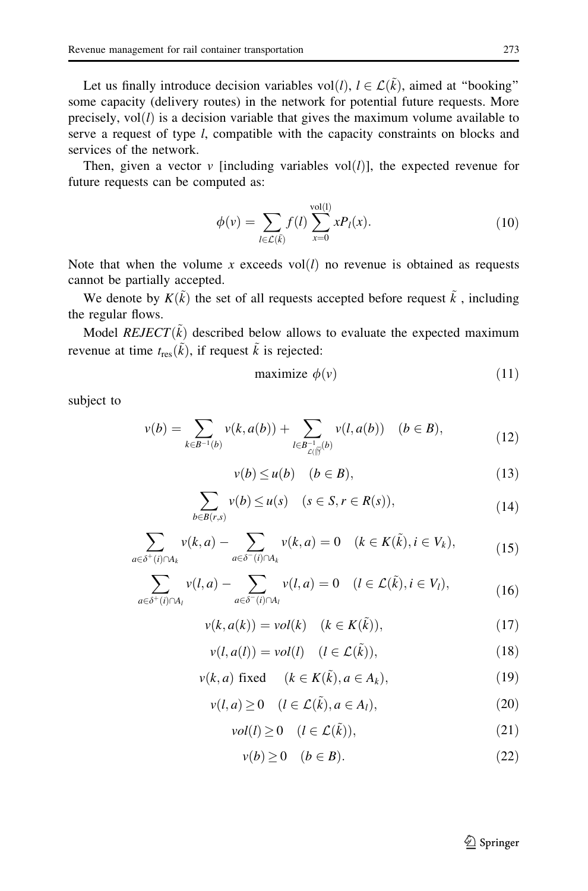Let us finally introduce decision variables  $vol(l)$ ,  $l \in \mathcal{L}(\tilde{k})$ , aimed at "booking" some capacity (delivery routes) in the network for potential future requests. More precisely,  $vol(l)$  is a decision variable that gives the maximum volume available to serve a request of type  $l$ , compatible with the capacity constraints on blocks and services of the network.

Then, given a vector v [including variables vol $(l)$ ], the expected revenue for future requests can be computed as:

$$
\phi(v) = \sum_{l \in \mathcal{L}(\bar{k})} f(l) \sum_{x=0}^{\text{vol}(l)} x P_l(x).
$$
 (10)

Note that when the volume x exceeds  $vol(l)$  no revenue is obtained as requests cannot be partially accepted.

We denote by  $K(\tilde{k})$  the set of all requests accepted before request  $\tilde{k}$  , including the regular flows.

Model  $REJECT(\tilde{k})$  described below allows to evaluate the expected maximum revenue at time  $t_{\text{res}}(\tilde{k})$ , if request  $\tilde{k}$  is rejected:

$$
\text{maximize } \phi(v) \tag{11}
$$

subject to

$$
v(b) = \sum_{k \in B^{-1}(b)} v(k, a(b)) + \sum_{l \in B^{-1}_{\mathcal{L}(\hat{\mathbb{F}})}(b)} v(l, a(b)) \quad (b \in B),
$$
\n(12)

$$
v(b) \le u(b) \quad (b \in B), \tag{13}
$$

$$
\sum_{b \in B(r,s)} v(b) \le u(s) \quad (s \in S, r \in R(s)),\tag{14}
$$

$$
\sum_{a \in \delta^+(i) \cap A_k} \nu(k, a) - \sum_{a \in \delta^-(i) \cap A_k} \nu(k, a) = 0 \quad (k \in K(\tilde{k}), i \in V_k), \tag{15}
$$

$$
\sum_{a \in \delta^+(i) \cap A_l} v(l, a) - \sum_{a \in \delta^-(i) \cap A_l} v(l, a) = 0 \quad (l \in \mathcal{L}(\tilde{k}), i \in V_l), \tag{16}
$$

$$
v(k, a(k)) = vol(k) \quad (k \in K(\tilde{k})), \tag{17}
$$

$$
v(l, a(l)) = vol(l) \quad (l \in \mathcal{L}(\tilde{k})), \tag{18}
$$

$$
v(k, a) \text{ fixed } (k \in K(\tilde{k}), a \in A_k), \tag{19}
$$

$$
v(l,a) \ge 0 \quad (l \in \mathcal{L}(\tilde{k}), a \in A_l), \tag{20}
$$

$$
vol(l) \ge 0 \quad (l \in \mathcal{L}(\tilde{k})), \tag{21}
$$

 $v(b) \ge 0 \quad (b \in B).$  (22)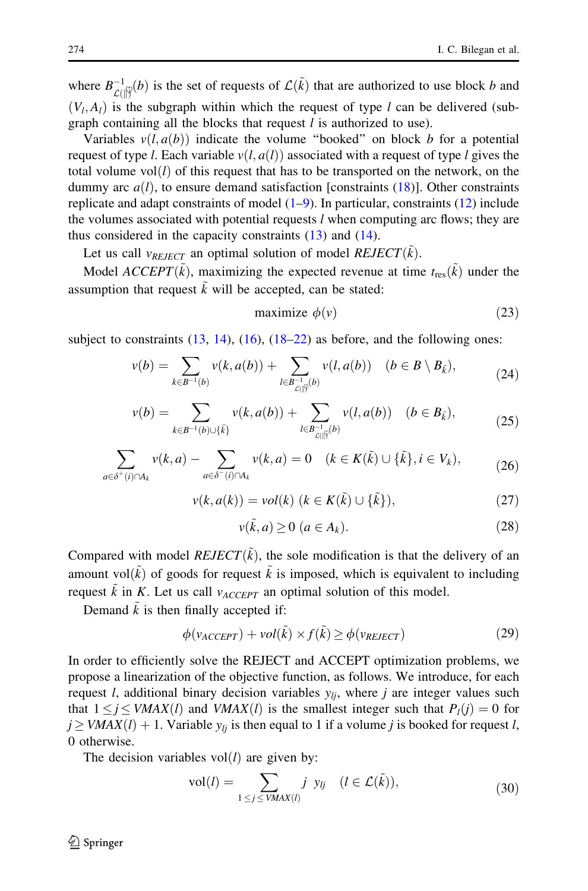where  $B^{-1}_{\mathcal{L}(\hat{N})}(b)$  is the set of requests of  $\mathcal{L}(\tilde{k})$  that are authorized to use block b and  $(V_l, A_l)$  is the subgraph within which the request of type l can be delivered (subgraph containing all the blocks that request  $l$  is authorized to use).

Variables  $v(l, a(b))$  indicate the volume "booked" on block b for a potential request of type *l*. Each variable  $v(l, a(l))$  associated with a request of type *l* gives the total volume vol $(l)$  of this request that has to be transported on the network, on the dummy arc  $a(l)$ , to ensure demand satisfaction [constraints (18)]. Other constraints replicate and adapt constraints of model  $(1-9)$ . In particular, constraints  $(12)$  include the volumes associated with potential requests  $l$  when computing arc flows; they are thus considered in the capacity constraints  $(13)$  and  $(14)$ .

Let us call  $v_{REJECT}$  an optimal solution of model  $REJECT(\tilde{k})$ .

Model  $ACCEPT(\tilde{k})$ , maximizing the expected revenue at time  $t_{res}(\tilde{k})$  under the assumption that request  $\tilde{k}$  will be accepted, can be stated:

$$
\text{maximize } \phi(v) \tag{23}
$$

subject to constraints  $(13, 14)$ ,  $(16)$ ,  $(18–22)$  as before, and the following ones:

$$
v(b) = \sum_{k \in B^{-1}(b)} v(k, a(b)) + \sum_{l \in B^{-1}_{\mathcal{L}(\mathbb{F})}(b)} v(l, a(b)) \quad (b \in B \setminus B_{\tilde{k}}),\tag{24}
$$

$$
v(b) = \sum_{k \in B^{-1}(b) \cup \{\tilde{k}\}} v(k, a(b)) + \sum_{l \in B^{-1}_{\mathcal{L}(\tilde{I})}(b)} v(l, a(b)) \quad (b \in B_{\tilde{k}}),
$$
 (25)

$$
\sum_{a\in\delta^+(i)\cap A_k} v(k,a) - \sum_{a\in\delta^-(i)\cap A_k} v(k,a) = 0 \quad (k\in K(\tilde{k})\cup\{\tilde{k}\}, i\in V_k),\tag{26}
$$

$$
v(k, a(k)) = vol(k) \ (k \in K(\tilde{k}) \cup \{\tilde{k}\}), \tag{27}
$$

$$
v(\tilde{k}, a) \ge 0 \ (a \in A_k). \tag{28}
$$

Compared with model  $REJECT(\tilde{k})$ , the sole modification is that the delivery of an amount vol $(\tilde{k})$  of goods for request  $\tilde{k}$  is imposed, which is equivalent to including request  $\tilde{k}$  in K. Let us call  $v_{ACCEPT}$  an optimal solution of this model.

Demand  $\tilde{k}$  is then finally accepted if:

$$
\phi(\nu_{ACCEPT}) + vol(\tilde{k}) \times f(\tilde{k}) \ge \phi(\nu_{REJECT})
$$
\n(29)

In order to efficiently solve the REJECT and ACCEPT optimization problems, we propose a linearization of the objective function, as follows. We introduce, for each request *l*, additional binary decision variables  $y_{ij}$ , where *j* are integer values such that  $1 \le j \le \text{VMAX}(l)$  and  $\text{VMAX}(l)$  is the smallest integer such that  $P_l(j) = 0$  for  $j \geq \text{VMAX}(l) + 1$ . Variable  $y_{lj}$  is then equal to 1 if a volume j is booked for request l, 0 otherwise.

The decision variables vol $(l)$  are given by:

$$
\text{vol}(l) = \sum_{1 \le j \le \text{VMAX}(l)} j \ y_{lj} \quad (l \in \mathcal{L}(\tilde{k})), \tag{30}
$$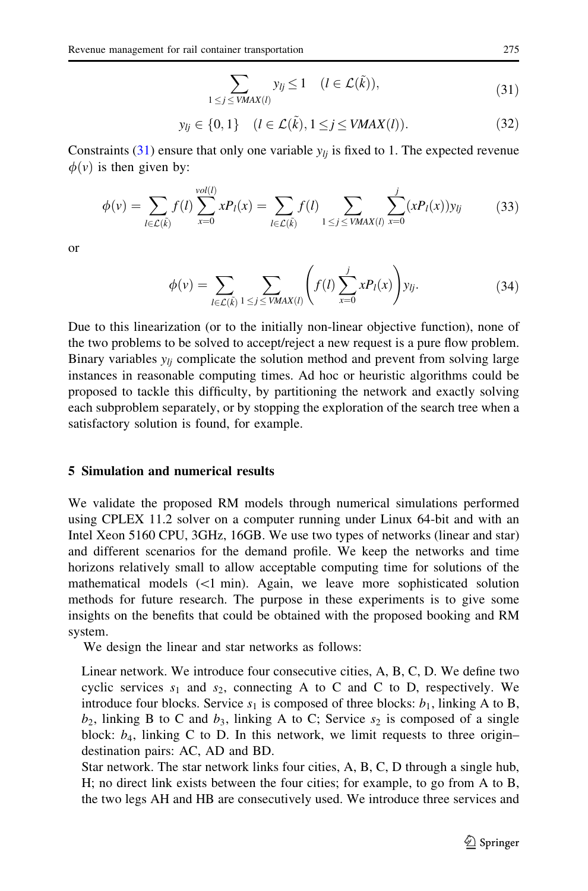$$
\sum_{1 \le j \le \text{VMAX}(l)} y_{lj} \le 1 \quad (l \in \mathcal{L}(\tilde{k})), \tag{31}
$$

$$
y_{ij} \in \{0, 1\} \quad (l \in \mathcal{L}(\tilde{k}), 1 \le j \le \text{VMAX}(l)). \tag{32}
$$

Constraints (31) ensure that only one variable  $y_{li}$  is fixed to 1. The expected revenue  $\phi(v)$  is then given by:

$$
\phi(v) = \sum_{l \in \mathcal{L}(\tilde{k})} f(l) \sum_{x=0}^{\text{vol}(l)} x P_l(x) = \sum_{l \in \mathcal{L}(\tilde{k})} f(l) \sum_{1 \le j \le \text{VMAX}(l)} \sum_{x=0}^j (x P_l(x)) y_{lj} \tag{33}
$$

or

$$
\phi(\nu) = \sum_{l \in \mathcal{L}(\bar{k})} \sum_{1 \le j \le \text{VMAX}(l)} \left( f(l) \sum_{x=0}^{j} x P_l(x) \right) y_{lj}.
$$
 (34)

Due to this linearization (or to the initially non-linear objective function), none of the two problems to be solved to accept/reject a new request is a pure flow problem. Binary variables  $y_{ij}$  complicate the solution method and prevent from solving large instances in reasonable computing times. Ad hoc or heuristic algorithms could be proposed to tackle this difficulty, by partitioning the network and exactly solving each subproblem separately, or by stopping the exploration of the search tree when a satisfactory solution is found, for example.

# 5 Simulation and numerical results

We validate the proposed RM models through numerical simulations performed using CPLEX 11.2 solver on a computer running under Linux 64-bit and with an Intel Xeon 5160 CPU, 3GHz, 16GB. We use two types of networks (linear and star) and different scenarios for the demand profile. We keep the networks and time horizons relatively small to allow acceptable computing time for solutions of the mathematical models  $(\leq 1 \text{ min})$ . Again, we leave more sophisticated solution methods for future research. The purpose in these experiments is to give some insights on the benefits that could be obtained with the proposed booking and RM system.

We design the linear and star networks as follows:

Linear network. We introduce four consecutive cities, A, B, C, D. We define two cyclic services  $s_1$  and  $s_2$ , connecting A to C and C to D, respectively. We introduce four blocks. Service  $s_1$  is composed of three blocks:  $b_1$ , linking A to B,  $b_2$ , linking B to C and  $b_3$ , linking A to C; Service  $s_2$  is composed of a single block:  $b_4$ , linking C to D. In this network, we limit requests to three origin– destination pairs: AC, AD and BD.

Star network. The star network links four cities, A, B, C, D through a single hub, H; no direct link exists between the four cities; for example, to go from A to B, the two legs AH and HB are consecutively used. We introduce three services and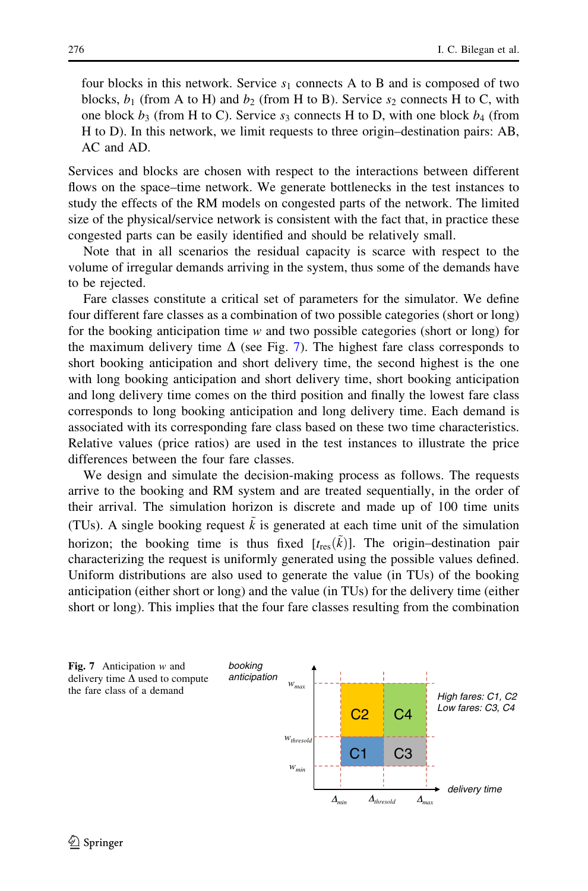four blocks in this network. Service  $s_1$  connects A to B and is composed of two blocks,  $b_1$  (from A to H) and  $b_2$  (from H to B). Service  $s_2$  connects H to C, with one block  $b_3$  (from H to C). Service  $s_3$  connects H to D, with one block  $b_4$  (from H to D). In this network, we limit requests to three origin–destination pairs: AB, AC and AD.

Services and blocks are chosen with respect to the interactions between different flows on the space–time network. We generate bottlenecks in the test instances to study the effects of the RM models on congested parts of the network. The limited size of the physical/service network is consistent with the fact that, in practice these congested parts can be easily identified and should be relatively small.

Note that in all scenarios the residual capacity is scarce with respect to the volume of irregular demands arriving in the system, thus some of the demands have to be rejected.

Fare classes constitute a critical set of parameters for the simulator. We define four different fare classes as a combination of two possible categories (short or long) for the booking anticipation time  $w$  and two possible categories (short or long) for the maximum delivery time  $\Delta$  (see Fig. 7). The highest fare class corresponds to short booking anticipation and short delivery time, the second highest is the one with long booking anticipation and short delivery time, short booking anticipation and long delivery time comes on the third position and finally the lowest fare class corresponds to long booking anticipation and long delivery time. Each demand is associated with its corresponding fare class based on these two time characteristics. Relative values (price ratios) are used in the test instances to illustrate the price differences between the four fare classes.

We design and simulate the decision-making process as follows. The requests arrive to the booking and RM system and are treated sequentially, in the order of their arrival. The simulation horizon is discrete and made up of 100 time units (TUs). A single booking request  $\tilde{k}$  is generated at each time unit of the simulation horizon; the booking time is thus fixed  $[t_{res}(\tilde{k})]$ . The origin–destination pair characterizing the request is uniformly generated using the possible values defined. Uniform distributions are also used to generate the value (in TUs) of the booking anticipation (either short or long) and the value (in TUs) for the delivery time (either short or long). This implies that the four fare classes resulting from the combination

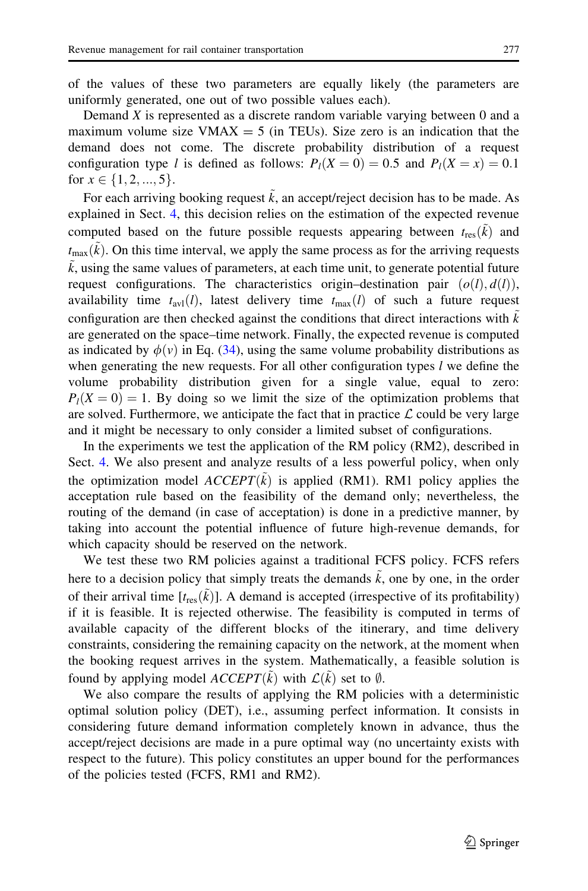of the values of these two parameters are equally likely (the parameters are uniformly generated, one out of two possible values each).

Demand X is represented as a discrete random variable varying between 0 and a maximum volume size VMAX  $=$  5 (in TEUs). Size zero is an indication that the demand does not come. The discrete probability distribution of a request configuration type l is defined as follows:  $P_l(X = 0) = 0.5$  and  $P_l(X = x) = 0.1$ for  $x \in \{1, 2, ..., 5\}$ .

For each arriving booking request  $\tilde{k}$ , an accept/reject decision has to be made. As explained in Sect. 4, this decision relies on the estimation of the expected revenue computed based on the future possible requests appearing between  $t_{\text{res}}(\tilde{k})$  and  $t_{\text{max}}(\tilde{k})$ . On this time interval, we apply the same process as for the arriving requests  $\tilde{k}$ , using the same values of parameters, at each time unit, to generate potential future request configurations. The characteristics origin–destination pair  $(o(l), d(l))$ , availability time  $t_{avl}(l)$ , latest delivery time  $t_{max}(l)$  of such a future request configuration are then checked against the conditions that direct interactions with  $\tilde{k}$ are generated on the space–time network. Finally, the expected revenue is computed as indicated by  $\phi(v)$  in Eq. (34), using the same volume probability distributions as when generating the new requests. For all other configuration types  $l$  we define the volume probability distribution given for a single value, equal to zero:  $P_l(X = 0) = 1$ . By doing so we limit the size of the optimization problems that are solved. Furthermore, we anticipate the fact that in practice  $\mathcal L$  could be very large and it might be necessary to only consider a limited subset of configurations.

In the experiments we test the application of the RM policy (RM2), described in Sect. 4. We also present and analyze results of a less powerful policy, when only the optimization model  $ACCEPT(\tilde{k})$  is applied (RM1). RM1 policy applies the acceptation rule based on the feasibility of the demand only; nevertheless, the routing of the demand (in case of acceptation) is done in a predictive manner, by taking into account the potential influence of future high-revenue demands, for which capacity should be reserved on the network.

We test these two RM policies against a traditional FCFS policy. FCFS refers here to a decision policy that simply treats the demands  $\tilde{k}$ , one by one, in the order of their arrival time  $[t_{res}(\tilde{k})]$ . A demand is accepted (irrespective of its profitability) if it is feasible. It is rejected otherwise. The feasibility is computed in terms of available capacity of the different blocks of the itinerary, and time delivery constraints, considering the remaining capacity on the network, at the moment when the booking request arrives in the system. Mathematically, a feasible solution is found by applying model  $ACCEPT(\tilde{k})$  with  $\mathcal{L}(\tilde{k})$  set to  $\emptyset$ .

We also compare the results of applying the RM policies with a deterministic optimal solution policy (DET), i.e., assuming perfect information. It consists in considering future demand information completely known in advance, thus the accept/reject decisions are made in a pure optimal way (no uncertainty exists with respect to the future). This policy constitutes an upper bound for the performances of the policies tested (FCFS, RM1 and RM2).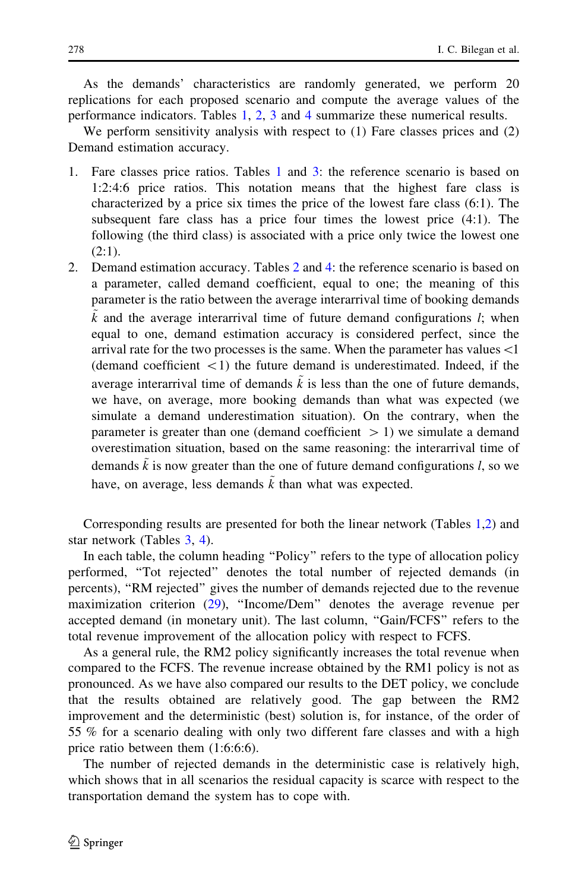As the demands' characteristics are randomly generated, we perform 20 replications for each proposed scenario and compute the average values of the performance indicators. Tables 1, 2, 3 and 4 summarize these numerical results.

We perform sensitivity analysis with respect to (1) Fare classes prices and (2) Demand estimation accuracy.

- 1. Fare classes price ratios. Tables 1 and 3: the reference scenario is based on 1:2:4:6 price ratios. This notation means that the highest fare class is characterized by a price six times the price of the lowest fare class (6:1). The subsequent fare class has a price four times the lowest price (4:1). The following (the third class) is associated with a price only twice the lowest one  $(2:1).$
- 2. Demand estimation accuracy. Tables 2 and 4: the reference scenario is based on a parameter, called demand coefficient, equal to one; the meaning of this parameter is the ratio between the average interarrival time of booking demands  $\tilde{k}$  and the average interarrival time of future demand configurations *l*; when equal to one, demand estimation accuracy is considered perfect, since the arrival rate for the two processes is the same. When the parameter has values  $\langle 1 \rangle$ (demand coefficient  $\langle 1 \rangle$ ) the future demand is underestimated. Indeed, if the average interarrival time of demands  $\tilde{k}$  is less than the one of future demands, we have, on average, more booking demands than what was expected (we simulate a demand underestimation situation). On the contrary, when the parameter is greater than one (demand coefficient  $> 1$ ) we simulate a demand overestimation situation, based on the same reasoning: the interarrival time of demands  $\tilde{k}$  is now greater than the one of future demand configurations l, so we have, on average, less demands  $\tilde{k}$  than what was expected.

Corresponding results are presented for both the linear network (Tables 1,2) and star network (Tables 3, 4).

In each table, the column heading ''Policy'' refers to the type of allocation policy performed, ''Tot rejected'' denotes the total number of rejected demands (in percents), ''RM rejected'' gives the number of demands rejected due to the revenue maximization criterion (29), "Income/Dem" denotes the average revenue per accepted demand (in monetary unit). The last column, ''Gain/FCFS'' refers to the total revenue improvement of the allocation policy with respect to FCFS.

As a general rule, the RM2 policy significantly increases the total revenue when compared to the FCFS. The revenue increase obtained by the RM1 policy is not as pronounced. As we have also compared our results to the DET policy, we conclude that the results obtained are relatively good. The gap between the RM2 improvement and the deterministic (best) solution is, for instance, of the order of 55 % for a scenario dealing with only two different fare classes and with a high price ratio between them (1:6:6:6).

The number of rejected demands in the deterministic case is relatively high, which shows that in all scenarios the residual capacity is scarce with respect to the transportation demand the system has to cope with.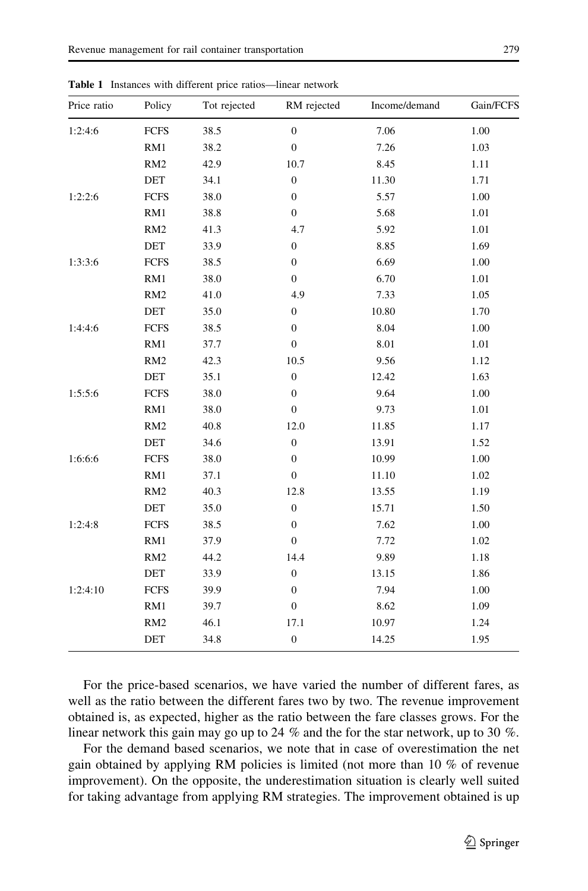| Price ratio | Policy               | Tot rejected | RM rejected      | Income/demand | Gain/FCFS |
|-------------|----------------------|--------------|------------------|---------------|-----------|
| 1:2:4:6     | <b>FCFS</b>          | 38.5         | $\boldsymbol{0}$ | 7.06          | 1.00      |
|             | RM1                  | 38.2         | $\boldsymbol{0}$ | 7.26          | 1.03      |
|             | RM <sub>2</sub>      | 42.9         | 10.7             | 8.45          | 1.11      |
|             | DET                  | 34.1         | $\boldsymbol{0}$ | 11.30         | 1.71      |
| 1:2:2:6     | <b>FCFS</b>          | 38.0         | $\boldsymbol{0}$ | 5.57          | 1.00      |
|             | RM1                  | 38.8         | $\mathbf{0}$     | 5.68          | 1.01      |
|             | RM <sub>2</sub>      | 41.3         | 4.7              | 5.92          | 1.01      |
|             | $\operatorname{DET}$ | 33.9         | $\boldsymbol{0}$ | 8.85          | 1.69      |
| 1:3:3:6     | <b>FCFS</b>          | 38.5         | $\mathbf{0}$     | 6.69          | 1.00      |
|             | RM1                  | 38.0         | $\overline{0}$   | 6.70          | 1.01      |
|             | RM <sub>2</sub>      | 41.0         | 4.9              | 7.33          | 1.05      |
|             | DET                  | 35.0         | $\mathbf{0}$     | 10.80         | 1.70      |
| 1:4:4:6     | <b>FCFS</b>          | 38.5         | $\boldsymbol{0}$ | 8.04          | $1.00\,$  |
|             | RM1                  | 37.7         | $\boldsymbol{0}$ | 8.01          | 1.01      |
|             | RM <sub>2</sub>      | 42.3         | 10.5             | 9.56          | 1.12      |
|             | DET                  | 35.1         | $\boldsymbol{0}$ | 12.42         | 1.63      |
| 1:5:5:6     | <b>FCFS</b>          | 38.0         | $\mathbf{0}$     | 9.64          | 1.00      |
|             | RM1                  | 38.0         | $\boldsymbol{0}$ | 9.73          | 1.01      |
|             | RM <sub>2</sub>      | 40.8         | 12.0             | 11.85         | 1.17      |
|             | DET                  | 34.6         | $\boldsymbol{0}$ | 13.91         | 1.52      |
| 1:6:6:6     | <b>FCFS</b>          | 38.0         | $\boldsymbol{0}$ | 10.99         | $1.00\,$  |
|             | RM1                  | 37.1         | $\boldsymbol{0}$ | 11.10         | 1.02      |
|             | RM <sub>2</sub>      | 40.3         | 12.8             | 13.55         | 1.19      |
|             | $\operatorname{DET}$ | 35.0         | $\boldsymbol{0}$ | 15.71         | 1.50      |
| 1:2:4:8     | <b>FCFS</b>          | 38.5         | $\boldsymbol{0}$ | 7.62          | 1.00      |
|             | RM1                  | 37.9         | $\boldsymbol{0}$ | 7.72          | $1.02\,$  |
|             | RM <sub>2</sub>      | 44.2         | 14.4             | 9.89          | 1.18      |
|             | <b>DET</b>           | 33.9         | $\boldsymbol{0}$ | 13.15         | 1.86      |
| 1:2:4:10    | <b>FCFS</b>          | 39.9         | $\boldsymbol{0}$ | 7.94          | $1.00\,$  |
|             | RM1                  | 39.7         | $\boldsymbol{0}$ | 8.62          | 1.09      |
|             | RM <sub>2</sub>      | 46.1         | 17.1             | 10.97         | 1.24      |
|             | DET                  | 34.8         | $\boldsymbol{0}$ | 14.25         | 1.95      |

Table 1 Instances with different price ratios—linear network

For the price-based scenarios, we have varied the number of different fares, as well as the ratio between the different fares two by two. The revenue improvement obtained is, as expected, higher as the ratio between the fare classes grows. For the linear network this gain may go up to 24 % and the for the star network, up to 30 %.

For the demand based scenarios, we note that in case of overestimation the net gain obtained by applying RM policies is limited (not more than 10 % of revenue improvement). On the opposite, the underestimation situation is clearly well suited for taking advantage from applying RM strategies. The improvement obtained is up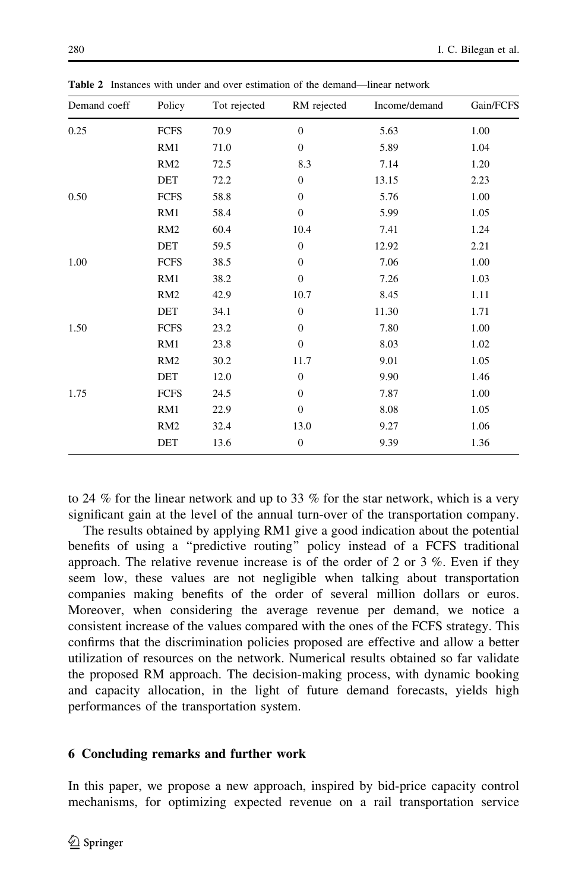| Demand coeff | Policy          | Tot rejected | RM rejected      | Income/demand | Gain/FCFS |
|--------------|-----------------|--------------|------------------|---------------|-----------|
| 0.25         | <b>FCFS</b>     | 70.9         | $\overline{0}$   | 5.63          | 1.00      |
|              | RM1             | 71.0         | $\boldsymbol{0}$ | 5.89          | 1.04      |
|              | RM <sub>2</sub> | 72.5         | 8.3              | 7.14          | 1.20      |
|              | <b>DET</b>      | 72.2         | $\boldsymbol{0}$ | 13.15         | 2.23      |
| 0.50         | <b>FCFS</b>     | 58.8         | $\boldsymbol{0}$ | 5.76          | 1.00      |
|              | RM1             | 58.4         | $\boldsymbol{0}$ | 5.99          | 1.05      |
|              | RM <sub>2</sub> | 60.4         | 10.4             | 7.41          | 1.24      |
|              | <b>DET</b>      | 59.5         | $\boldsymbol{0}$ | 12.92         | 2.21      |
| 1.00         | <b>FCFS</b>     | 38.5         | $\overline{0}$   | 7.06          | 1.00      |
|              | RM1             | 38.2         | $\boldsymbol{0}$ | 7.26          | 1.03      |
|              | RM <sub>2</sub> | 42.9         | 10.7             | 8.45          | 1.11      |
|              | DET             | 34.1         | $\overline{0}$   | 11.30         | 1.71      |
| 1.50         | <b>FCFS</b>     | 23.2         | $\boldsymbol{0}$ | 7.80          | 1.00      |
|              | RM1             | 23.8         | $\boldsymbol{0}$ | 8.03          | 1.02      |
|              | RM <sub>2</sub> | 30.2         | 11.7             | 9.01          | 1.05      |
|              | DET             | 12.0         | $\overline{0}$   | 9.90          | 1.46      |
| 1.75         | <b>FCFS</b>     | 24.5         | $\overline{0}$   | 7.87          | 1.00      |
|              | RM1             | 22.9         | $\boldsymbol{0}$ | 8.08          | 1.05      |
|              | RM <sub>2</sub> | 32.4         | 13.0             | 9.27          | 1.06      |
|              | DET             | 13.6         | $\boldsymbol{0}$ | 9.39          | 1.36      |

Table 2 Instances with under and over estimation of the demand—linear network

to 24 % for the linear network and up to 33 % for the star network, which is a very significant gain at the level of the annual turn-over of the transportation company.

The results obtained by applying RM1 give a good indication about the potential benefits of using a ''predictive routing'' policy instead of a FCFS traditional approach. The relative revenue increase is of the order of 2 or 3 %. Even if they seem low, these values are not negligible when talking about transportation companies making benefits of the order of several million dollars or euros. Moreover, when considering the average revenue per demand, we notice a consistent increase of the values compared with the ones of the FCFS strategy. This confirms that the discrimination policies proposed are effective and allow a better utilization of resources on the network. Numerical results obtained so far validate the proposed RM approach. The decision-making process, with dynamic booking and capacity allocation, in the light of future demand forecasts, yields high performances of the transportation system.

## 6 Concluding remarks and further work

In this paper, we propose a new approach, inspired by bid-price capacity control mechanisms, for optimizing expected revenue on a rail transportation service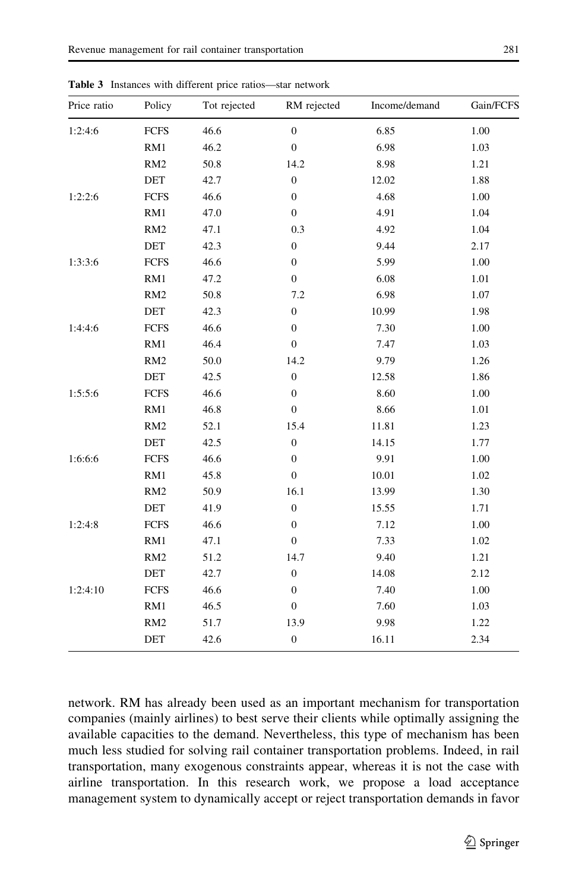| Price ratio | Policy               | Tot rejected | RM rejected      | Income/demand | Gain/FCFS |
|-------------|----------------------|--------------|------------------|---------------|-----------|
| 1:2:4:6     | <b>FCFS</b>          | 46.6         | $\boldsymbol{0}$ | 6.85          | 1.00      |
|             | RM1                  | 46.2         | $\boldsymbol{0}$ | 6.98          | 1.03      |
|             | RM <sub>2</sub>      | 50.8         | 14.2             | 8.98          | 1.21      |
|             | DET                  | 42.7         | $\boldsymbol{0}$ | 12.02         | 1.88      |
| 1:2:2:6     | <b>FCFS</b>          | 46.6         | $\boldsymbol{0}$ | 4.68          | 1.00      |
|             | RM1                  | 47.0         | $\boldsymbol{0}$ | 4.91          | 1.04      |
|             | RM <sub>2</sub>      | 47.1         | 0.3              | 4.92          | 1.04      |
|             | $\operatorname{DET}$ | 42.3         | $\boldsymbol{0}$ | 9.44          | 2.17      |
| 1:3:3:6     | <b>FCFS</b>          | 46.6         | $\boldsymbol{0}$ | 5.99          | 1.00      |
|             | RM1                  | 47.2         | $\overline{0}$   | 6.08          | 1.01      |
|             | RM <sub>2</sub>      | 50.8         | 7.2              | 6.98          | 1.07      |
|             | DET                  | 42.3         | $\boldsymbol{0}$ | 10.99         | 1.98      |
| 1:4:4:6     | <b>FCFS</b>          | 46.6         | $\mathbf{0}$     | 7.30          | 1.00      |
|             | RM1                  | 46.4         | $\mathbf{0}$     | 7.47          | 1.03      |
|             | RM <sub>2</sub>      | 50.0         | 14.2             | 9.79          | 1.26      |
|             | $\operatorname{DET}$ | 42.5         | $\boldsymbol{0}$ | 12.58         | 1.86      |
| 1:5:5:6     | <b>FCFS</b>          | 46.6         | $\boldsymbol{0}$ | 8.60          | 1.00      |
|             | RM1                  | 46.8         | $\boldsymbol{0}$ | 8.66          | 1.01      |
|             | RM <sub>2</sub>      | 52.1         | 15.4             | 11.81         | 1.23      |
|             | $\operatorname{DET}$ | 42.5         | $\boldsymbol{0}$ | 14.15         | 1.77      |
| 1:6:6:6     | <b>FCFS</b>          | 46.6         | $\boldsymbol{0}$ | 9.91          | 1.00      |
|             | RM1                  | 45.8         | $\overline{0}$   | 10.01         | 1.02      |
|             | RM <sub>2</sub>      | 50.9         | 16.1             | 13.99         | 1.30      |
|             | DET                  | 41.9         | $\boldsymbol{0}$ | 15.55         | 1.71      |
| 1:2:4:8     | <b>FCFS</b>          | 46.6         | $\mathbf{0}$     | 7.12          | 1.00      |
|             | RM1                  | 47.1         | $\boldsymbol{0}$ | 7.33          | 1.02      |
|             | RM <sub>2</sub>      | 51.2         | 14.7             | 9.40          | 1.21      |
|             | $\operatorname{DET}$ | 42.7         | $\boldsymbol{0}$ | 14.08         | 2.12      |
| 1:2:4:10    | <b>FCFS</b>          | 46.6         | $\boldsymbol{0}$ | 7.40          | 1.00      |
|             | RM1                  | 46.5         | $\boldsymbol{0}$ | 7.60          | 1.03      |
|             | RM <sub>2</sub>      | 51.7         | 13.9             | 9.98          | 1.22      |
|             | DET                  | 42.6         | $\boldsymbol{0}$ | 16.11         | 2.34      |

Table 3 Instances with different price ratios—star network

network. RM has already been used as an important mechanism for transportation companies (mainly airlines) to best serve their clients while optimally assigning the available capacities to the demand. Nevertheless, this type of mechanism has been much less studied for solving rail container transportation problems. Indeed, in rail transportation, many exogenous constraints appear, whereas it is not the case with airline transportation. In this research work, we propose a load acceptance management system to dynamically accept or reject transportation demands in favor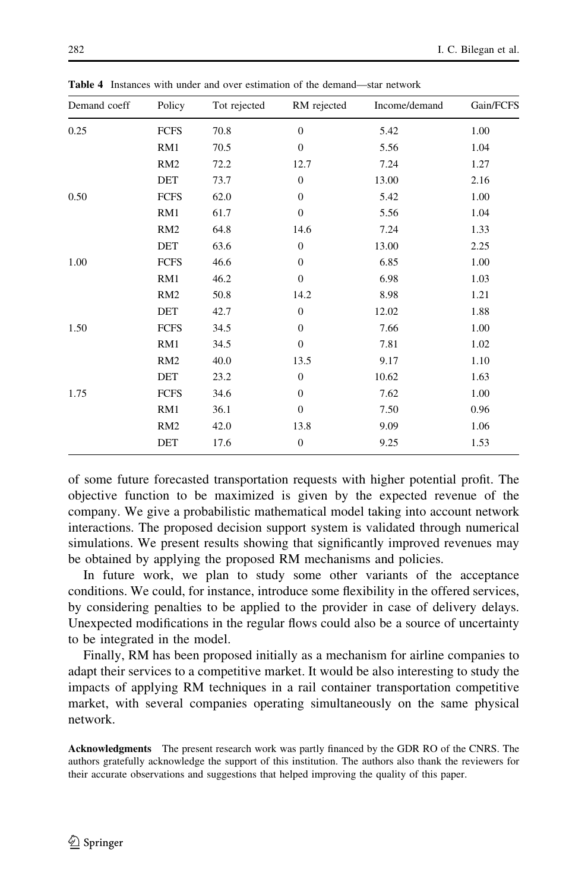| Demand coeff | Policy          | Tot rejected | RM rejected      | Income/demand | Gain/FCFS |
|--------------|-----------------|--------------|------------------|---------------|-----------|
| 0.25         | <b>FCFS</b>     | 70.8         | $\overline{0}$   | 5.42          | 1.00      |
|              | RM1             | 70.5         | $\boldsymbol{0}$ | 5.56          | 1.04      |
|              | RM2             | 72.2         | 12.7             | 7.24          | 1.27      |
|              | DET             | 73.7         | $\boldsymbol{0}$ | 13.00         | 2.16      |
| 0.50         | <b>FCFS</b>     | 62.0         | $\overline{0}$   | 5.42          | 1.00      |
|              | RM1             | 61.7         | $\overline{0}$   | 5.56          | 1.04      |
|              | RM2             | 64.8         | 14.6             | 7.24          | 1.33      |
|              | DET             | 63.6         | $\boldsymbol{0}$ | 13.00         | 2.25      |
| 1.00         | <b>FCFS</b>     | 46.6         | $\overline{0}$   | 6.85          | 1.00      |
|              | RM1             | 46.2         | $\boldsymbol{0}$ | 6.98          | 1.03      |
|              | RM2             | 50.8         | 14.2             | 8.98          | 1.21      |
|              | DET             | 42.7         | $\overline{0}$   | 12.02         | 1.88      |
| 1.50         | <b>FCFS</b>     | 34.5         | $\overline{0}$   | 7.66          | 1.00      |
|              | RM1             | 34.5         | $\boldsymbol{0}$ | 7.81          | 1.02      |
|              | RM <sub>2</sub> | 40.0         | 13.5             | 9.17          | 1.10      |
|              | DET             | 23.2         | $\overline{0}$   | 10.62         | 1.63      |
| 1.75         | <b>FCFS</b>     | 34.6         | $\overline{0}$   | 7.62          | 1.00      |
|              | RM <sub>1</sub> | 36.1         | $\boldsymbol{0}$ | 7.50          | 0.96      |
|              | RM <sub>2</sub> | 42.0         | 13.8             | 9.09          | 1.06      |
|              | DET             | 17.6         | $\boldsymbol{0}$ | 9.25          | 1.53      |

Table 4 Instances with under and over estimation of the demand—star network

of some future forecasted transportation requests with higher potential profit. The objective function to be maximized is given by the expected revenue of the company. We give a probabilistic mathematical model taking into account network interactions. The proposed decision support system is validated through numerical simulations. We present results showing that significantly improved revenues may be obtained by applying the proposed RM mechanisms and policies.

In future work, we plan to study some other variants of the acceptance conditions. We could, for instance, introduce some flexibility in the offered services, by considering penalties to be applied to the provider in case of delivery delays. Unexpected modifications in the regular flows could also be a source of uncertainty to be integrated in the model.

Finally, RM has been proposed initially as a mechanism for airline companies to adapt their services to a competitive market. It would be also interesting to study the impacts of applying RM techniques in a rail container transportation competitive market, with several companies operating simultaneously on the same physical network.

Acknowledgments The present research work was partly financed by the GDR RO of the CNRS. The authors gratefully acknowledge the support of this institution. The authors also thank the reviewers for their accurate observations and suggestions that helped improving the quality of this paper.